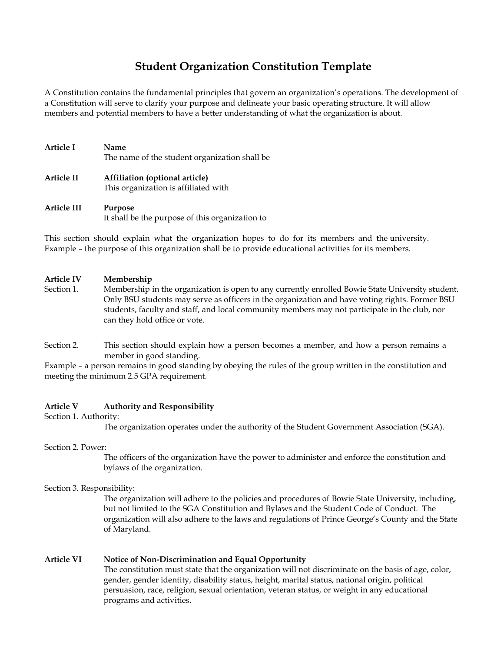# **Student Organization Constitution Template**

A Constitution contains the fundamental principles that govern an organization's operations. The development of a Constitution will serve to clarify your purpose and delineate your basic operating structure. It will allow members and potential members to have a better understanding of what the organization is about.

| Article I  | Name<br>The name of the student organization shall be                  |
|------------|------------------------------------------------------------------------|
| Article II | Affiliation (optional article)<br>This organization is affiliated with |

**Article III Purpose** It shall be the purpose of this organization to

This section should explain what the organization hopes to do for its members and the university. Example – the purpose of this organization shall be to provide educational activities for its members.

# **Article IV Membership**

- Section 1. Membership in the organization is open to any currently enrolled Bowie State University student. Only BSU students may serve as officers in the organization and have voting rights. Former BSU students, faculty and staff, and local community members may not participate in the club, nor can they hold office or vote.
- Section 2. This section should explain how a person becomes a member, and how a person remains a member in good standing.

Example – a person remains in good standing by obeying the rules of the group written in the constitution and meeting the minimum 2.5 GPA requirement.

# **Article V Authority and Responsibility**

Section 1. Authority:

The organization operates under the authority of the Student Government Association (SGA).

Section 2. Power:

The officers of the organization have the power to administer and enforce the constitution and bylaws of the organization.

Section 3. Responsibility:

The organization will adhere to the policies and procedures of Bowie State University, including, but not limited to the SGA Constitution and Bylaws and the Student Code of Conduct. The organization will also adhere to the laws and regulations of Prince George's County and the State of Maryland.

# **Article VI Notice of Non-Discrimination and Equal Opportunity**

The constitution must state that the organization will not discriminate on the basis of age, color, gender, gender identity, disability status, height, marital status, national origin, political persuasion, race, religion, sexual orientation, veteran status, or weight in any educational programs and activities.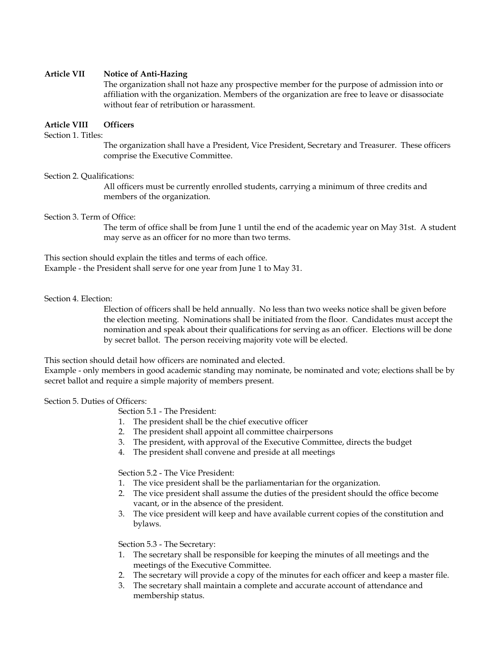# **Article VII Notice of Anti-Hazing**

The organization shall not haze any prospective member for the purpose of admission into or affiliation with the organization. Members of the organization are free to leave or disassociate without fear of retribution or harassment.

# **Article VIII Officers**

Section 1. Titles:

The organization shall have a President, Vice President, Secretary and Treasurer. These officers comprise the Executive Committee.

## Section 2. Qualifications:

All officers must be currently enrolled students, carrying a minimum of three credits and members of the organization.

## Section 3. Term of Office:

The term of office shall be from June 1 until the end of the academic year on May 31st. A student may serve as an officer for no more than two terms.

This section should explain the titles and terms of each office.

Example - the President shall serve for one year from June 1 to May 31.

## Section 4. Election:

Election of officers shall be held annually. No less than two weeks notice shall be given before the election meeting. Nominations shall be initiated from the floor. Candidates must accept the nomination and speak about their qualifications for serving as an officer. Elections will be done by secret ballot. The person receiving majority vote will be elected.

This section should detail how officers are nominated and elected.

Example - only members in good academic standing may nominate, be nominated and vote; elections shall be by secret ballot and require a simple majority of members present.

# Section 5. Duties of Officers:

Section 5.1 - The President:

- 1. The president shall be the chief executive officer
- 2. The president shall appoint all committee chairpersons
- 3. The president, with approval of the Executive Committee, directs the budget
- 4. The president shall convene and preside at all meetings

Section 5.2 - The Vice President:

- 1. The vice president shall be the parliamentarian for the organization.
- 2. The vice president shall assume the duties of the president should the office become vacant, or in the absence of the president.
- 3. The vice president will keep and have available current copies of the constitution and bylaws.

Section 5.3 - The Secretary:

- 1. The secretary shall be responsible for keeping the minutes of all meetings and the meetings of the Executive Committee.
- 2. The secretary will provide a copy of the minutes for each officer and keep a master file.
- 3. The secretary shall maintain a complete and accurate account of attendance and membership status.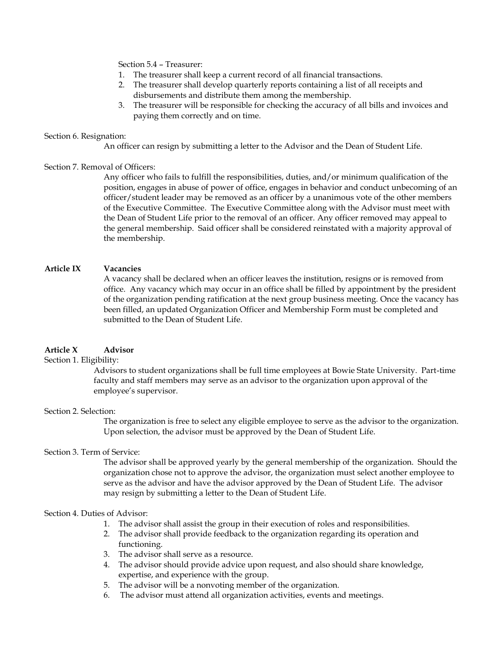Section 5.4 – Treasurer:

- 1. The treasurer shall keep a current record of all financial transactions.
- 2. The treasurer shall develop quarterly reports containing a list of all receipts and disbursements and distribute them among the membership.
- 3. The treasurer will be responsible for checking the accuracy of all bills and invoices and paying them correctly and on time.

## Section 6. Resignation:

An officer can resign by submitting a letter to the Advisor and the Dean of Student Life.

# Section 7. Removal of Officers:

Any officer who fails to fulfill the responsibilities, duties, and/or minimum qualification of the position, engages in abuse of power of office, engages in behavior and conduct unbecoming of an officer/student leader may be removed as an officer by a unanimous vote of the other members of the Executive Committee. The Executive Committee along with the Advisor must meet with the Dean of Student Life prior to the removal of an officer. Any officer removed may appeal to the general membership. Said officer shall be considered reinstated with a majority approval of the membership.

# **Article IX Vacancies**

A vacancy shall be declared when an officer leaves the institution, resigns or is removed from office. Any vacancy which may occur in an office shall be filled by appointment by the president of the organization pending ratification at the next group business meeting. Once the vacancy has been filled, an updated Organization Officer and Membership Form must be completed and submitted to the Dean of Student Life.

# **Article X Advisor**

# Section 1. Eligibility:

Advisors to student organizations shall be full time employees at Bowie State University. Part-time faculty and staff members may serve as an advisor to the organization upon approval of the employee's supervisor.

# Section 2. Selection:

The organization is free to select any eligible employee to serve as the advisor to the organization. Upon selection, the advisor must be approved by the Dean of Student Life.

# Section 3. Term of Service:

The advisor shall be approved yearly by the general membership of the organization. Should the organization chose not to approve the advisor, the organization must select another employee to serve as the advisor and have the advisor approved by the Dean of Student Life. The advisor may resign by submitting a letter to the Dean of Student Life.

# Section 4. Duties of Advisor:

- 1. The advisor shall assist the group in their execution of roles and responsibilities.
- 2. The advisor shall provide feedback to the organization regarding its operation and functioning.
- 3. The advisor shall serve as a resource.
- 4. The advisor should provide advice upon request, and also should share knowledge, expertise, and experience with the group.
- 5. The advisor will be a nonvoting member of the organization.
- 6. The advisor must attend all organization activities, events and meetings.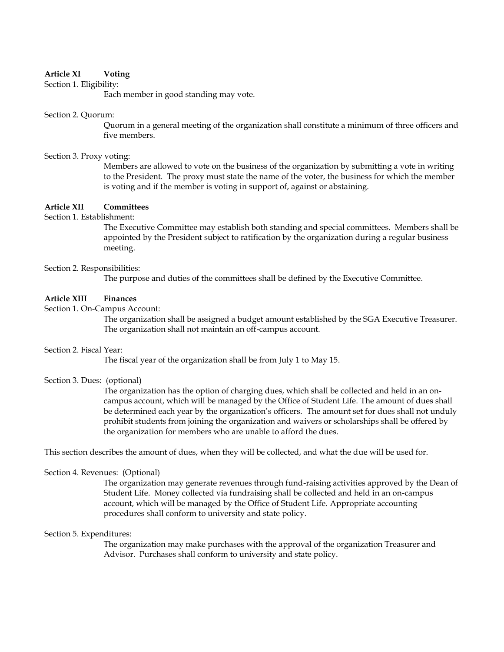# **Article XI Voting**

Section 1. Eligibility:

Each member in good standing may vote.

### Section 2. Quorum:

Quorum in a general meeting of the organization shall constitute a minimum of three officers and five members.

### Section 3. Proxy voting:

Members are allowed to vote on the business of the organization by submitting a vote in writing to the President. The proxy must state the name of the voter, the business for which the member is voting and if the member is voting in support of, against or abstaining.

## **Article XII Committees**

Section 1. Establishment:

The Executive Committee may establish both standing and special committees. Members shall be appointed by the President subject to ratification by the organization during a regular business meeting.

## Section 2. Responsibilities:

The purpose and duties of the committees shall be defined by the Executive Committee.

# **Article XIII Finances**

Section 1. On-Campus Account:

The organization shall be assigned a budget amount established by the SGA Executive Treasurer. The organization shall not maintain an off-campus account.

### Section 2. Fiscal Year:

The fiscal year of the organization shall be from July 1 to May 15.

## Section 3. Dues: (optional)

The organization has the option of charging dues, which shall be collected and held in an oncampus account, which will be managed by the Office of Student Life. The amount of dues shall be determined each year by the organization's officers. The amount set for dues shall not unduly prohibit students from joining the organization and waivers or scholarships shall be offered by the organization for members who are unable to afford the dues.

This section describes the amount of dues, when they will be collected, and what the due will be used for.

## Section 4. Revenues: (Optional)

The organization may generate revenues through fund-raising activities approved by the Dean of Student Life. Money collected via fundraising shall be collected and held in an on-campus account, which will be managed by the Office of Student Life. Appropriate accounting procedures shall conform to university and state policy.

## Section 5. Expenditures:

The organization may make purchases with the approval of the organization Treasurer and Advisor. Purchases shall conform to university and state policy.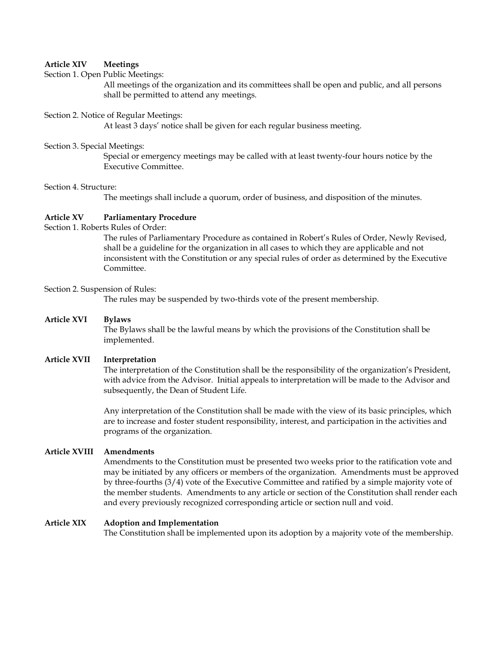# **Article XIV Meetings**

## Section 1. Open Public Meetings:

All meetings of the organization and its committees shall be open and public, and all persons shall be permitted to attend any meetings.

### Section 2. Notice of Regular Meetings:

At least 3 days' notice shall be given for each regular business meeting.

#### Section 3. Special Meetings:

Special or emergency meetings may be called with at least twenty-four hours notice by the Executive Committee.

#### Section 4. Structure:

The meetings shall include a quorum, order of business, and disposition of the minutes.

# **Article XV Parliamentary Procedure**

Section 1. Roberts Rules of Order:

The rules of Parliamentary Procedure as contained in Robert's Rules of Order, Newly Revised, shall be a guideline for the organization in all cases to which they are applicable and not inconsistent with the Constitution or any special rules of order as determined by the Executive Committee.

## Section 2. Suspension of Rules:

The rules may be suspended by two-thirds vote of the present membership.

### **Article XVI Bylaws**

The Bylaws shall be the lawful means by which the provisions of the Constitution shall be implemented.

### **Article XVII Interpretation**

The interpretation of the Constitution shall be the responsibility of the organization's President, with advice from the Advisor. Initial appeals to interpretation will be made to the Advisor and subsequently, the Dean of Student Life.

Any interpretation of the Constitution shall be made with the view of its basic principles, which are to increase and foster student responsibility, interest, and participation in the activities and programs of the organization.

## **Article XVIII Amendments**

Amendments to the Constitution must be presented two weeks prior to the ratification vote and may be initiated by any officers or members of the organization. Amendments must be approved by three-fourths (3/4) vote of the Executive Committee and ratified by a simple majority vote of the member students. Amendments to any article or section of the Constitution shall render each and every previously recognized corresponding article or section null and void.

# **Article XIX Adoption and Implementation**

The Constitution shall be implemented upon its adoption by a majority vote of the membership.